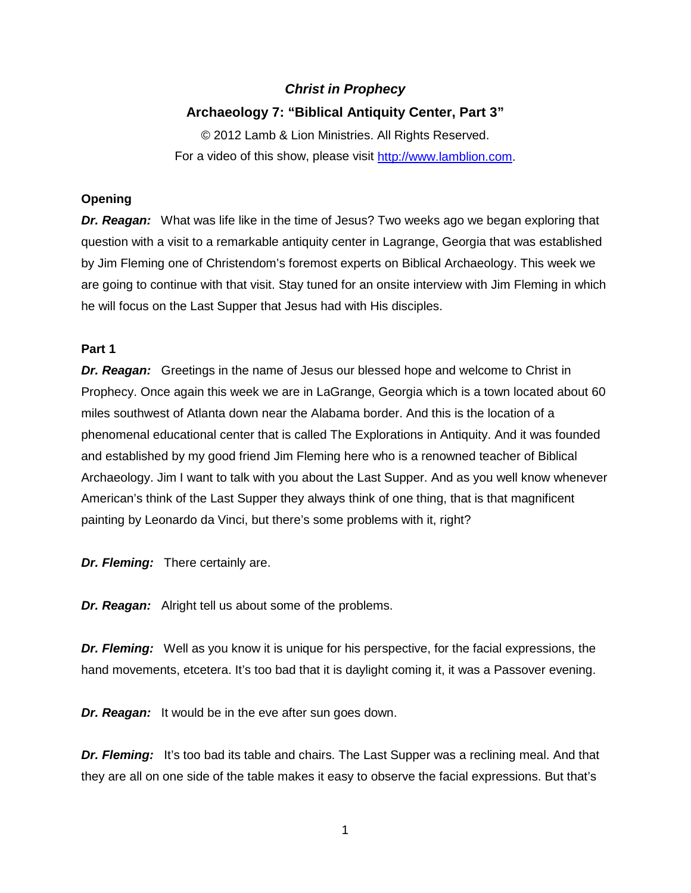# *Christ in Prophecy*

# **Archaeology 7: "Biblical Antiquity Center, Part 3"**

© 2012 Lamb & Lion Ministries. All Rights Reserved. For a video of this show, please visit [http://www.lamblion.com.](http://www.lamblion.com/)

## **Opening**

*Dr. Reagan:* What was life like in the time of Jesus? Two weeks ago we began exploring that question with a visit to a remarkable antiquity center in Lagrange, Georgia that was established by Jim Fleming one of Christendom's foremost experts on Biblical Archaeology. This week we are going to continue with that visit. Stay tuned for an onsite interview with Jim Fleming in which he will focus on the Last Supper that Jesus had with His disciples.

### **Part 1**

*Dr. Reagan:* Greetings in the name of Jesus our blessed hope and welcome to Christ in Prophecy. Once again this week we are in LaGrange, Georgia which is a town located about 60 miles southwest of Atlanta down near the Alabama border. And this is the location of a phenomenal educational center that is called The Explorations in Antiquity. And it was founded and established by my good friend Jim Fleming here who is a renowned teacher of Biblical Archaeology. Jim I want to talk with you about the Last Supper. And as you well know whenever American's think of the Last Supper they always think of one thing, that is that magnificent painting by Leonardo da Vinci, but there's some problems with it, right?

*Dr. Fleming:* There certainly are.

*Dr. Reagan:* Alright tell us about some of the problems.

*Dr. Fleming:* Well as you know it is unique for his perspective, for the facial expressions, the hand movements, etcetera. It's too bad that it is daylight coming it, it was a Passover evening.

*Dr. Reagan:* It would be in the eve after sun goes down.

**Dr. Fleming:** It's too bad its table and chairs. The Last Supper was a reclining meal. And that they are all on one side of the table makes it easy to observe the facial expressions. But that's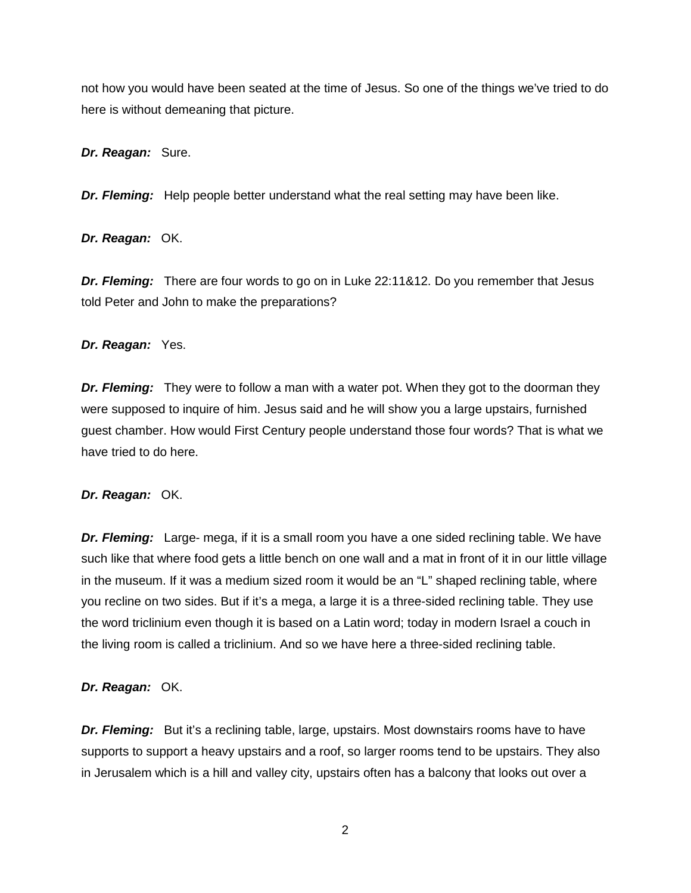not how you would have been seated at the time of Jesus. So one of the things we've tried to do here is without demeaning that picture.

*Dr. Reagan:* Sure.

*Dr. Fleming:* Help people better understand what the real setting may have been like.

*Dr. Reagan:* OK.

*Dr. Fleming:* There are four words to go on in Luke 22:11&12. Do you remember that Jesus told Peter and John to make the preparations?

*Dr. Reagan:* Yes.

*Dr. Fleming:* They were to follow a man with a water pot. When they got to the doorman they were supposed to inquire of him. Jesus said and he will show you a large upstairs, furnished guest chamber. How would First Century people understand those four words? That is what we have tried to do here.

*Dr. Reagan:* OK.

*Dr. Fleming:* Large- mega, if it is a small room you have a one sided reclining table. We have such like that where food gets a little bench on one wall and a mat in front of it in our little village in the museum. If it was a medium sized room it would be an "L" shaped reclining table, where you recline on two sides. But if it's a mega, a large it is a three-sided reclining table. They use the word triclinium even though it is based on a Latin word; today in modern Israel a couch in the living room is called a triclinium. And so we have here a three-sided reclining table.

*Dr. Reagan:* OK.

*Dr. Fleming:* But it's a reclining table, large, upstairs. Most downstairs rooms have to have supports to support a heavy upstairs and a roof, so larger rooms tend to be upstairs. They also in Jerusalem which is a hill and valley city, upstairs often has a balcony that looks out over a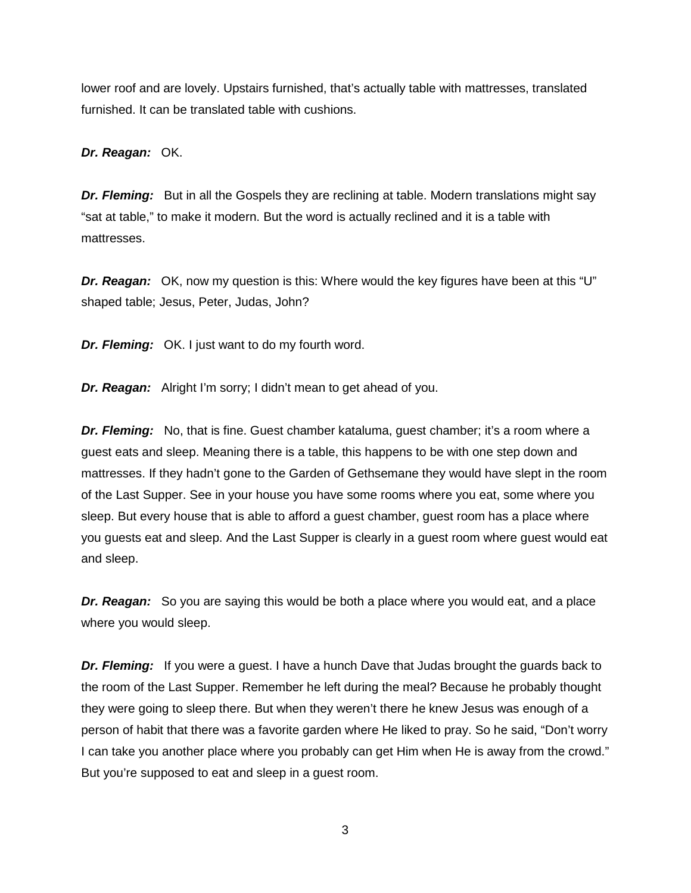lower roof and are lovely. Upstairs furnished, that's actually table with mattresses, translated furnished. It can be translated table with cushions.

*Dr. Reagan:* OK.

**Dr. Fleming:** But in all the Gospels they are reclining at table. Modern translations might say "sat at table," to make it modern. But the word is actually reclined and it is a table with mattresses.

*Dr. Reagan:* OK, now my question is this: Where would the key figures have been at this "U" shaped table; Jesus, Peter, Judas, John?

*Dr. Fleming:* OK. I just want to do my fourth word.

*Dr. Reagan:* Alright I'm sorry; I didn't mean to get ahead of you.

*Dr. Fleming:* No, that is fine. Guest chamber kataluma, guest chamber; it's a room where a guest eats and sleep. Meaning there is a table, this happens to be with one step down and mattresses. If they hadn't gone to the Garden of Gethsemane they would have slept in the room of the Last Supper. See in your house you have some rooms where you eat, some where you sleep. But every house that is able to afford a guest chamber, guest room has a place where you guests eat and sleep. And the Last Supper is clearly in a guest room where guest would eat and sleep.

*Dr. Reagan:* So you are saying this would be both a place where you would eat, and a place where you would sleep.

*Dr. Fleming:* If you were a guest. I have a hunch Dave that Judas brought the guards back to the room of the Last Supper. Remember he left during the meal? Because he probably thought they were going to sleep there. But when they weren't there he knew Jesus was enough of a person of habit that there was a favorite garden where He liked to pray. So he said, "Don't worry I can take you another place where you probably can get Him when He is away from the crowd." But you're supposed to eat and sleep in a guest room.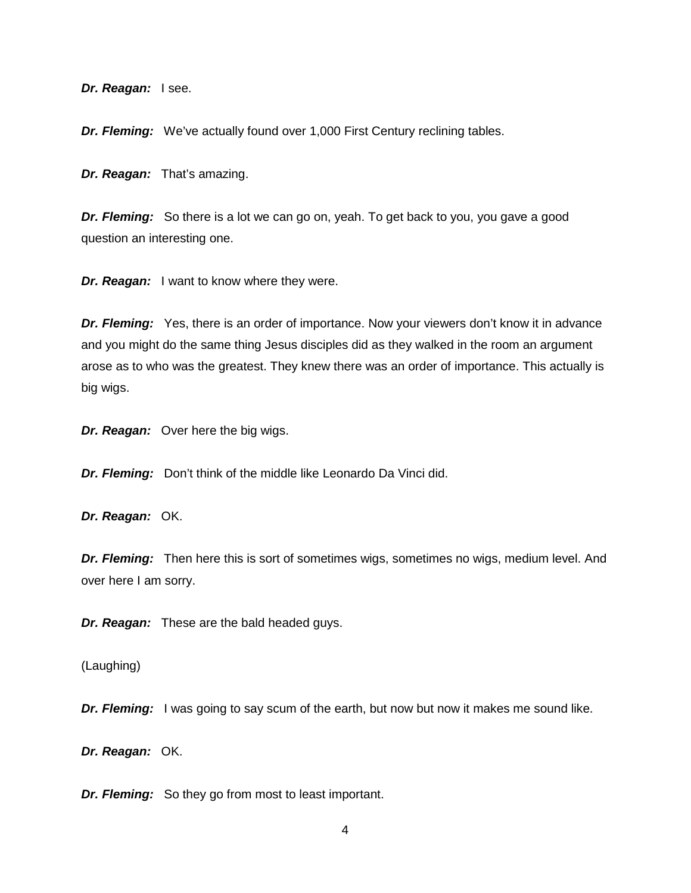*Dr. Reagan:* I see.

*Dr. Fleming:* We've actually found over 1,000 First Century reclining tables.

*Dr. Reagan:* That's amazing.

*Dr. Fleming:* So there is a lot we can go on, yeah. To get back to you, you gave a good question an interesting one.

*Dr. Reagan:* I want to know where they were.

*Dr. Fleming:* Yes, there is an order of importance. Now your viewers don't know it in advance and you might do the same thing Jesus disciples did as they walked in the room an argument arose as to who was the greatest. They knew there was an order of importance. This actually is big wigs.

*Dr. Reagan:* Over here the big wigs.

*Dr. Fleming:* Don't think of the middle like Leonardo Da Vinci did.

*Dr. Reagan:* OK.

*Dr. Fleming:* Then here this is sort of sometimes wigs, sometimes no wigs, medium level. And over here I am sorry.

*Dr. Reagan:* These are the bald headed guys.

(Laughing)

*Dr. Fleming:* I was going to say scum of the earth, but now but now it makes me sound like.

*Dr. Reagan:* OK.

*Dr. Fleming:* So they go from most to least important.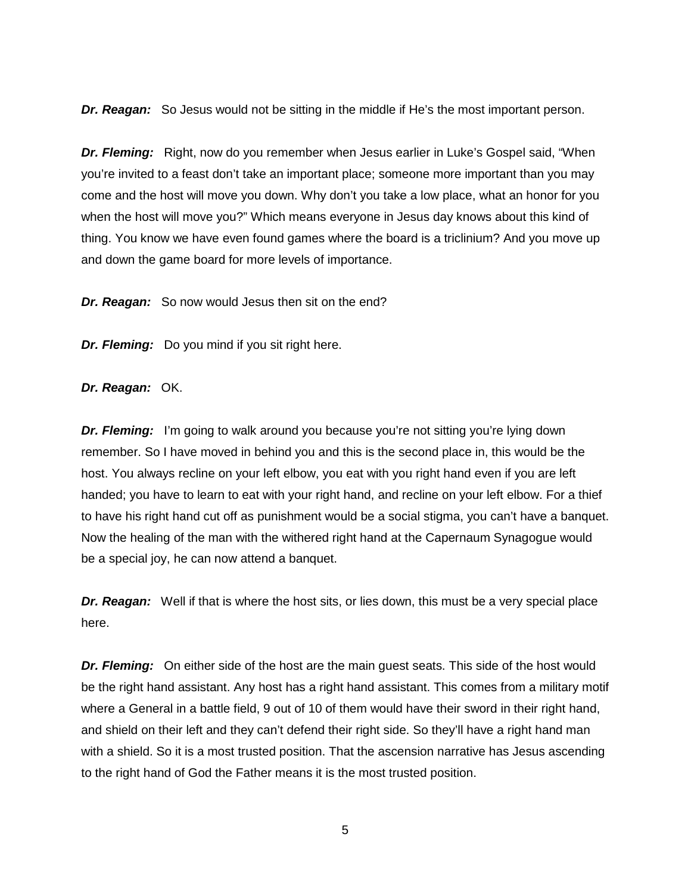*Dr. Reagan:* So Jesus would not be sitting in the middle if He's the most important person.

*Dr. Fleming:* Right, now do you remember when Jesus earlier in Luke's Gospel said, "When you're invited to a feast don't take an important place; someone more important than you may come and the host will move you down. Why don't you take a low place, what an honor for you when the host will move you?" Which means everyone in Jesus day knows about this kind of thing. You know we have even found games where the board is a triclinium? And you move up and down the game board for more levels of importance.

*Dr. Reagan:* So now would Jesus then sit on the end?

*Dr. Fleming:* Do you mind if you sit right here.

*Dr. Reagan:* OK.

**Dr. Fleming:** I'm going to walk around you because you're not sitting you're lying down remember. So I have moved in behind you and this is the second place in, this would be the host. You always recline on your left elbow, you eat with you right hand even if you are left handed; you have to learn to eat with your right hand, and recline on your left elbow. For a thief to have his right hand cut off as punishment would be a social stigma, you can't have a banquet. Now the healing of the man with the withered right hand at the Capernaum Synagogue would be a special joy, he can now attend a banquet.

*Dr. Reagan:* Well if that is where the host sits, or lies down, this must be a very special place here.

*Dr. Fleming:* On either side of the host are the main guest seats. This side of the host would be the right hand assistant. Any host has a right hand assistant. This comes from a military motif where a General in a battle field, 9 out of 10 of them would have their sword in their right hand, and shield on their left and they can't defend their right side. So they'll have a right hand man with a shield. So it is a most trusted position. That the ascension narrative has Jesus ascending to the right hand of God the Father means it is the most trusted position.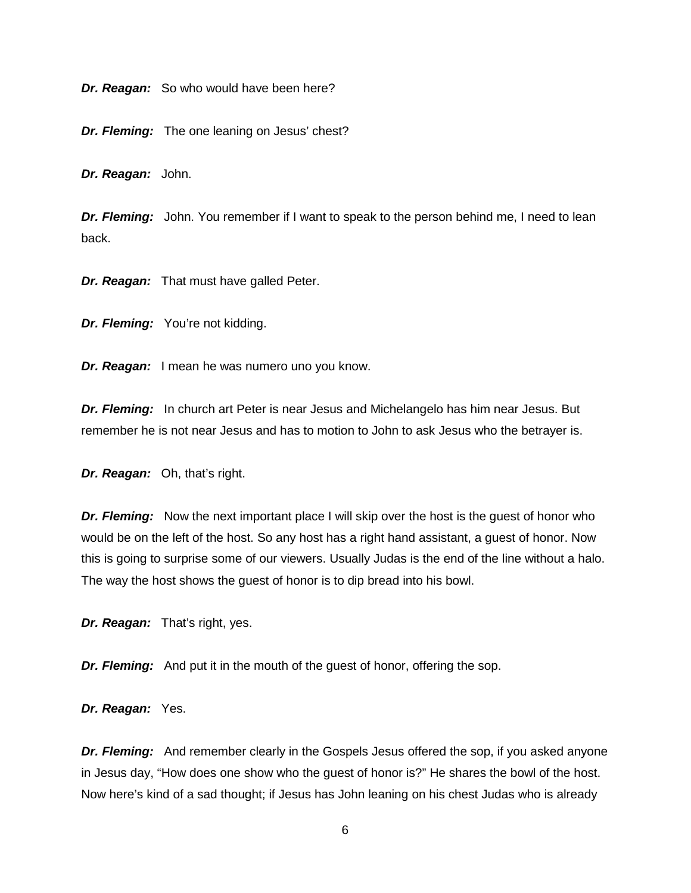*Dr. Reagan:* So who would have been here?

*Dr. Fleming:* The one leaning on Jesus' chest?

*Dr. Reagan:* John.

**Dr. Fleming:** John. You remember if I want to speak to the person behind me, I need to lean back.

*Dr. Reagan:* That must have galled Peter.

*Dr. Fleming:* You're not kidding.

*Dr. Reagan:* I mean he was numero uno you know.

*Dr. Fleming:* In church art Peter is near Jesus and Michelangelo has him near Jesus. But remember he is not near Jesus and has to motion to John to ask Jesus who the betrayer is.

*Dr. Reagan:* Oh, that's right.

*Dr. Fleming:* Now the next important place I will skip over the host is the quest of honor who would be on the left of the host. So any host has a right hand assistant, a guest of honor. Now this is going to surprise some of our viewers. Usually Judas is the end of the line without a halo. The way the host shows the guest of honor is to dip bread into his bowl.

*Dr. Reagan:* That's right, yes.

*Dr. Fleming:* And put it in the mouth of the quest of honor, offering the sop.

*Dr. Reagan:* Yes.

*Dr. Fleming:* And remember clearly in the Gospels Jesus offered the sop, if you asked anyone in Jesus day, "How does one show who the guest of honor is?" He shares the bowl of the host. Now here's kind of a sad thought; if Jesus has John leaning on his chest Judas who is already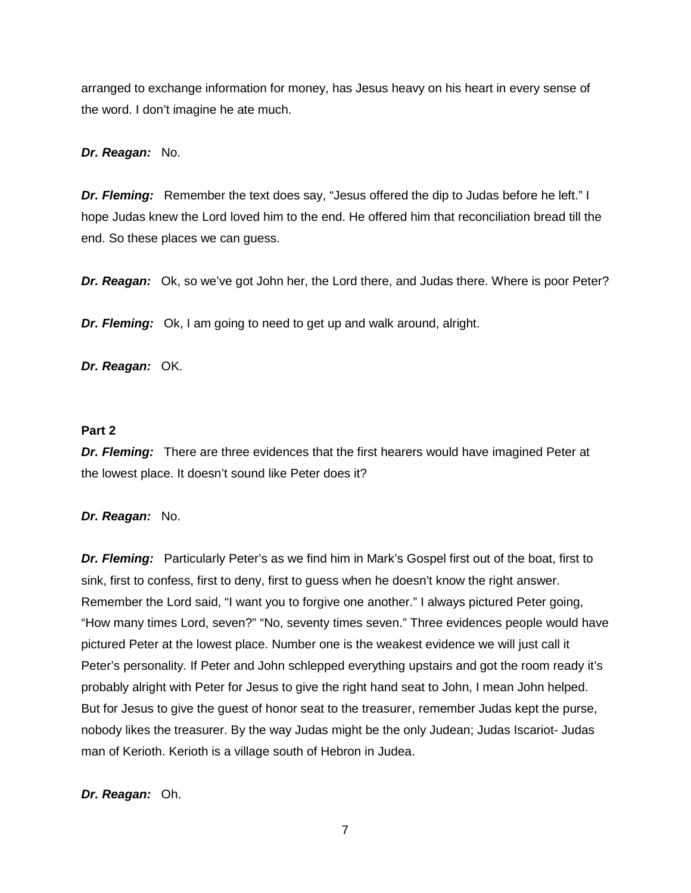arranged to exchange information for money, has Jesus heavy on his heart in every sense of the word. I don't imagine he ate much.

## *Dr. Reagan:* No.

*Dr. Fleming:* Remember the text does say, "Jesus offered the dip to Judas before he left." I hope Judas knew the Lord loved him to the end. He offered him that reconciliation bread till the end. So these places we can guess.

*Dr. Reagan:* Ok, so we've got John her, the Lord there, and Judas there. Where is poor Peter?

*Dr. Fleming:* Ok, I am going to need to get up and walk around, alright.

*Dr. Reagan:* OK.

## **Part 2**

*Dr. Fleming:* There are three evidences that the first hearers would have imagined Peter at the lowest place. It doesn't sound like Peter does it?

### *Dr. Reagan:* No.

*Dr. Fleming:* Particularly Peter's as we find him in Mark's Gospel first out of the boat, first to sink, first to confess, first to deny, first to guess when he doesn't know the right answer. Remember the Lord said, "I want you to forgive one another." I always pictured Peter going, "How many times Lord, seven?" "No, seventy times seven." Three evidences people would have pictured Peter at the lowest place. Number one is the weakest evidence we will just call it Peter's personality. If Peter and John schlepped everything upstairs and got the room ready it's probably alright with Peter for Jesus to give the right hand seat to John, I mean John helped. But for Jesus to give the guest of honor seat to the treasurer, remember Judas kept the purse, nobody likes the treasurer. By the way Judas might be the only Judean; Judas Iscariot- Judas man of Kerioth. Kerioth is a village south of Hebron in Judea.

## *Dr. Reagan:* Oh.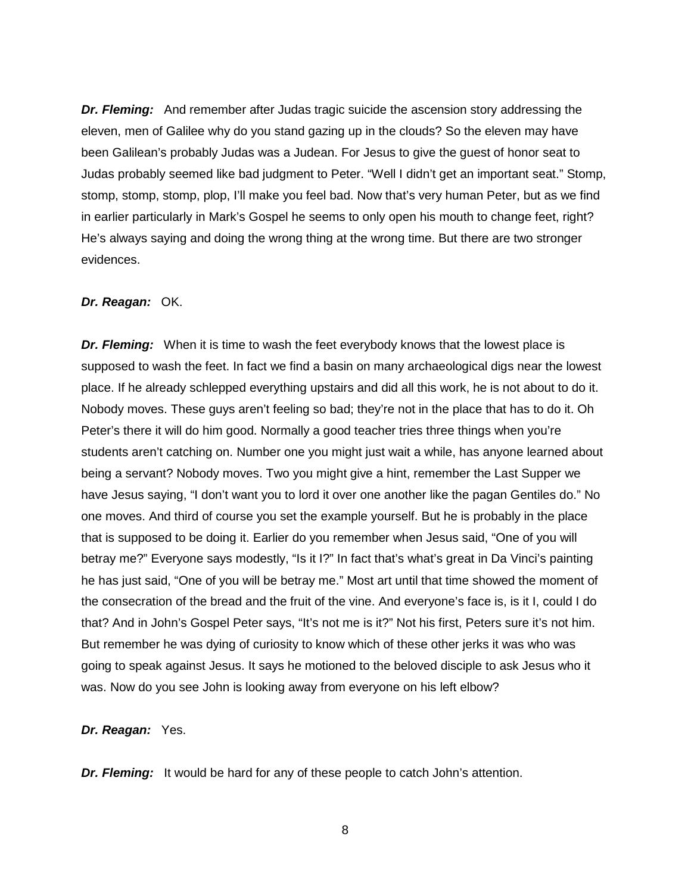*Dr. Fleming:* And remember after Judas tragic suicide the ascension story addressing the eleven, men of Galilee why do you stand gazing up in the clouds? So the eleven may have been Galilean's probably Judas was a Judean. For Jesus to give the guest of honor seat to Judas probably seemed like bad judgment to Peter. "Well I didn't get an important seat." Stomp, stomp, stomp, stomp, plop, I'll make you feel bad. Now that's very human Peter, but as we find in earlier particularly in Mark's Gospel he seems to only open his mouth to change feet, right? He's always saying and doing the wrong thing at the wrong time. But there are two stronger evidences.

#### *Dr. Reagan:* OK.

*Dr. Fleming:* When it is time to wash the feet everybody knows that the lowest place is supposed to wash the feet. In fact we find a basin on many archaeological digs near the lowest place. If he already schlepped everything upstairs and did all this work, he is not about to do it. Nobody moves. These guys aren't feeling so bad; they're not in the place that has to do it. Oh Peter's there it will do him good. Normally a good teacher tries three things when you're students aren't catching on. Number one you might just wait a while, has anyone learned about being a servant? Nobody moves. Two you might give a hint, remember the Last Supper we have Jesus saying, "I don't want you to lord it over one another like the pagan Gentiles do." No one moves. And third of course you set the example yourself. But he is probably in the place that is supposed to be doing it. Earlier do you remember when Jesus said, "One of you will betray me?" Everyone says modestly, "Is it I?" In fact that's what's great in Da Vinci's painting he has just said, "One of you will be betray me." Most art until that time showed the moment of the consecration of the bread and the fruit of the vine. And everyone's face is, is it I, could I do that? And in John's Gospel Peter says, "It's not me is it?" Not his first, Peters sure it's not him. But remember he was dying of curiosity to know which of these other jerks it was who was going to speak against Jesus. It says he motioned to the beloved disciple to ask Jesus who it was. Now do you see John is looking away from everyone on his left elbow?

#### *Dr. Reagan:* Yes.

*Dr. Fleming:* It would be hard for any of these people to catch John's attention.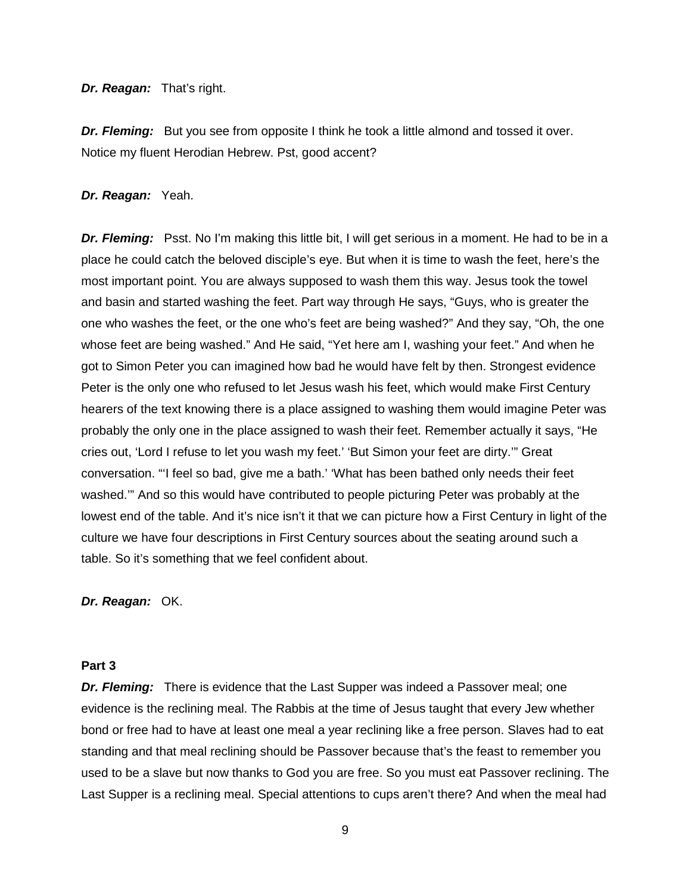#### *Dr. Reagan:* That's right.

*Dr. Fleming:* But you see from opposite I think he took a little almond and tossed it over. Notice my fluent Herodian Hebrew. Pst, good accent?

### *Dr. Reagan:* Yeah.

*Dr. Fleming:* Psst. No I'm making this little bit, I will get serious in a moment. He had to be in a place he could catch the beloved disciple's eye. But when it is time to wash the feet, here's the most important point. You are always supposed to wash them this way. Jesus took the towel and basin and started washing the feet. Part way through He says, "Guys, who is greater the one who washes the feet, or the one who's feet are being washed?" And they say, "Oh, the one whose feet are being washed." And He said, "Yet here am I, washing your feet." And when he got to Simon Peter you can imagined how bad he would have felt by then. Strongest evidence Peter is the only one who refused to let Jesus wash his feet, which would make First Century hearers of the text knowing there is a place assigned to washing them would imagine Peter was probably the only one in the place assigned to wash their feet. Remember actually it says, "He cries out, 'Lord I refuse to let you wash my feet.' 'But Simon your feet are dirty.'" Great conversation. "'I feel so bad, give me a bath.' 'What has been bathed only needs their feet washed.'" And so this would have contributed to people picturing Peter was probably at the lowest end of the table. And it's nice isn't it that we can picture how a First Century in light of the culture we have four descriptions in First Century sources about the seating around such a table. So it's something that we feel confident about.

*Dr. Reagan:* OK.

## **Part 3**

*Dr. Fleming:* There is evidence that the Last Supper was indeed a Passover meal; one evidence is the reclining meal. The Rabbis at the time of Jesus taught that every Jew whether bond or free had to have at least one meal a year reclining like a free person. Slaves had to eat standing and that meal reclining should be Passover because that's the feast to remember you used to be a slave but now thanks to God you are free. So you must eat Passover reclining. The Last Supper is a reclining meal. Special attentions to cups aren't there? And when the meal had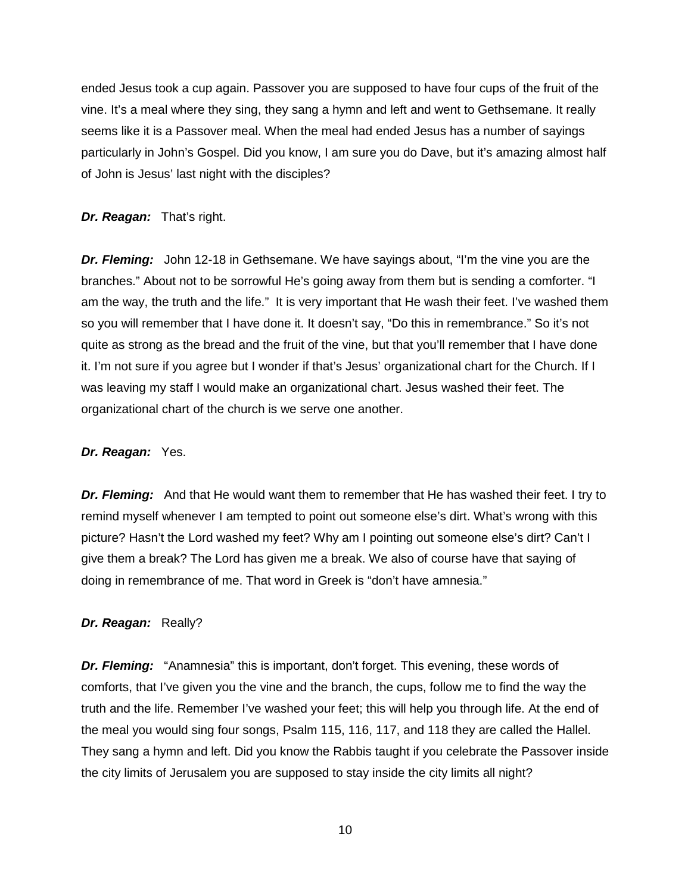ended Jesus took a cup again. Passover you are supposed to have four cups of the fruit of the vine. It's a meal where they sing, they sang a hymn and left and went to Gethsemane. It really seems like it is a Passover meal. When the meal had ended Jesus has a number of sayings particularly in John's Gospel. Did you know, I am sure you do Dave, but it's amazing almost half of John is Jesus' last night with the disciples?

### *Dr. Reagan:* That's right.

*Dr. Fleming:* John 12-18 in Gethsemane. We have sayings about, "I'm the vine you are the branches." About not to be sorrowful He's going away from them but is sending a comforter. "I am the way, the truth and the life." It is very important that He wash their feet. I've washed them so you will remember that I have done it. It doesn't say, "Do this in remembrance." So it's not quite as strong as the bread and the fruit of the vine, but that you'll remember that I have done it. I'm not sure if you agree but I wonder if that's Jesus' organizational chart for the Church. If I was leaving my staff I would make an organizational chart. Jesus washed their feet. The organizational chart of the church is we serve one another.

## *Dr. Reagan:* Yes.

*Dr. Fleming:* And that He would want them to remember that He has washed their feet. I try to remind myself whenever I am tempted to point out someone else's dirt. What's wrong with this picture? Hasn't the Lord washed my feet? Why am I pointing out someone else's dirt? Can't I give them a break? The Lord has given me a break. We also of course have that saying of doing in remembrance of me. That word in Greek is "don't have amnesia."

### *Dr. Reagan:* Really?

*Dr. Fleming:* "Anamnesia" this is important, don't forget. This evening, these words of comforts, that I've given you the vine and the branch, the cups, follow me to find the way the truth and the life. Remember I've washed your feet; this will help you through life. At the end of the meal you would sing four songs, Psalm 115, 116, 117, and 118 they are called the Hallel. They sang a hymn and left. Did you know the Rabbis taught if you celebrate the Passover inside the city limits of Jerusalem you are supposed to stay inside the city limits all night?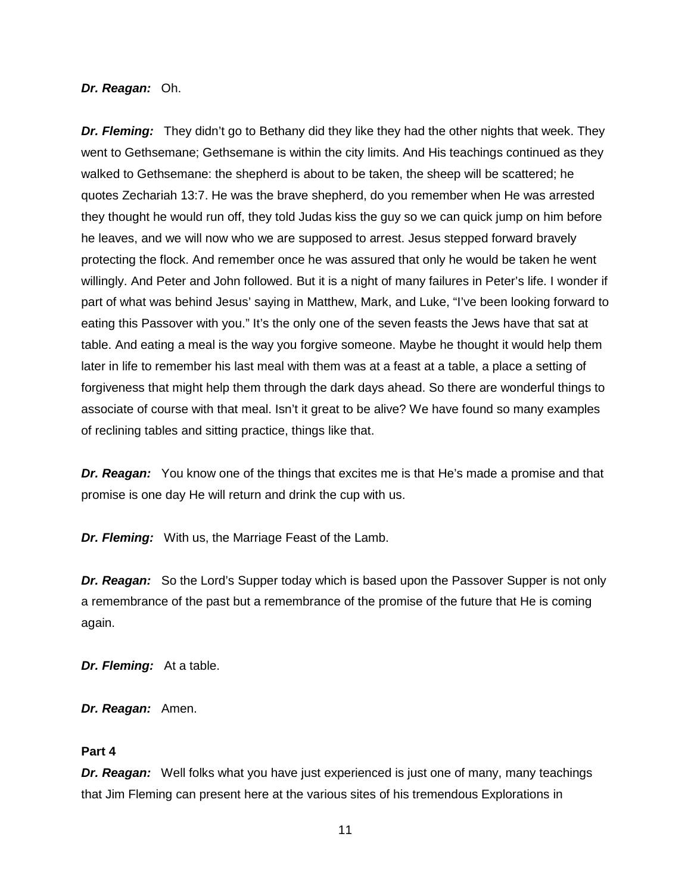#### *Dr. Reagan:* Oh.

*Dr. Fleming:* They didn't go to Bethany did they like they had the other nights that week. They went to Gethsemane; Gethsemane is within the city limits. And His teachings continued as they walked to Gethsemane: the shepherd is about to be taken, the sheep will be scattered; he quotes Zechariah 13:7. He was the brave shepherd, do you remember when He was arrested they thought he would run off, they told Judas kiss the guy so we can quick jump on him before he leaves, and we will now who we are supposed to arrest. Jesus stepped forward bravely protecting the flock. And remember once he was assured that only he would be taken he went willingly. And Peter and John followed. But it is a night of many failures in Peter's life. I wonder if part of what was behind Jesus' saying in Matthew, Mark, and Luke, "I've been looking forward to eating this Passover with you." It's the only one of the seven feasts the Jews have that sat at table. And eating a meal is the way you forgive someone. Maybe he thought it would help them later in life to remember his last meal with them was at a feast at a table, a place a setting of forgiveness that might help them through the dark days ahead. So there are wonderful things to associate of course with that meal. Isn't it great to be alive? We have found so many examples of reclining tables and sitting practice, things like that.

*Dr. Reagan:* You know one of the things that excites me is that He's made a promise and that promise is one day He will return and drink the cup with us.

*Dr. Fleming:* With us, the Marriage Feast of the Lamb.

*Dr. Reagan:* So the Lord's Supper today which is based upon the Passover Supper is not only a remembrance of the past but a remembrance of the promise of the future that He is coming again.

*Dr. Fleming:* At a table.

*Dr. Reagan:* Amen.

### **Part 4**

*Dr. Reagan:* Well folks what you have just experienced is just one of many, many teachings that Jim Fleming can present here at the various sites of his tremendous Explorations in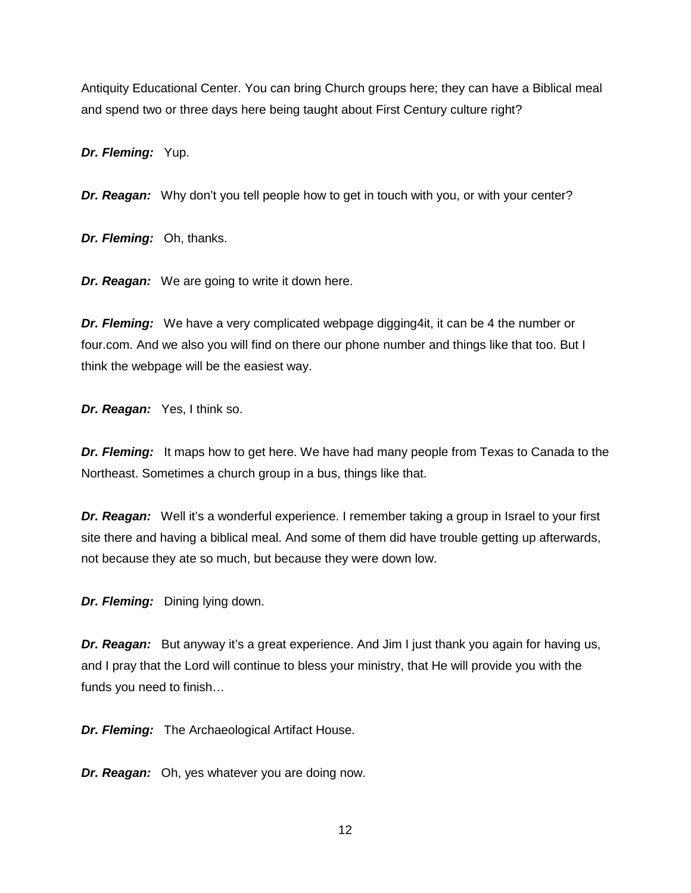Antiquity Educational Center. You can bring Church groups here; they can have a Biblical meal and spend two or three days here being taught about First Century culture right?

*Dr. Fleming:* Yup.

*Dr. Reagan:* Why don't you tell people how to get in touch with you, or with your center?

*Dr. Fleming:* Oh, thanks.

*Dr. Reagan:* We are going to write it down here.

*Dr. Fleming:* We have a very complicated webpage digging4it, it can be 4 the number or four.com. And we also you will find on there our phone number and things like that too. But I think the webpage will be the easiest way.

*Dr. Reagan:* Yes, I think so.

**Dr. Fleming:** It maps how to get here. We have had many people from Texas to Canada to the Northeast. Sometimes a church group in a bus, things like that.

*Dr. Reagan:* Well it's a wonderful experience. I remember taking a group in Israel to your first site there and having a biblical meal. And some of them did have trouble getting up afterwards, not because they ate so much, but because they were down low.

*Dr. Fleming:* Dining lying down.

**Dr. Reagan:** But anyway it's a great experience. And Jim I just thank you again for having us, and I pray that the Lord will continue to bless your ministry, that He will provide you with the funds you need to finish…

*Dr. Fleming:* The Archaeological Artifact House.

*Dr. Reagan:* Oh, yes whatever you are doing now.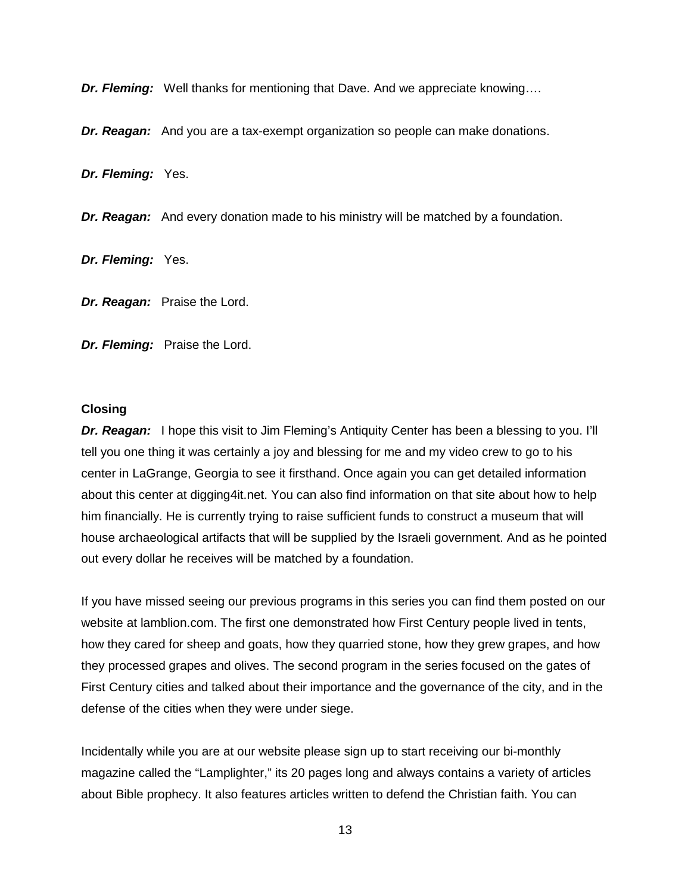*Dr. Fleming:* Well thanks for mentioning that Dave. And we appreciate knowing….

*Dr. Reagan:* And you are a tax-exempt organization so people can make donations.

*Dr. Fleming:* Yes.

*Dr. Reagan:* And every donation made to his ministry will be matched by a foundation.

*Dr. Fleming:* Yes.

*Dr. Reagan:* Praise the Lord.

*Dr. Fleming:* Praise the Lord.

### **Closing**

**Dr. Reagan:** I hope this visit to Jim Fleming's Antiquity Center has been a blessing to you. I'll tell you one thing it was certainly a joy and blessing for me and my video crew to go to his center in LaGrange, Georgia to see it firsthand. Once again you can get detailed information about this center at digging4it.net. You can also find information on that site about how to help him financially. He is currently trying to raise sufficient funds to construct a museum that will house archaeological artifacts that will be supplied by the Israeli government. And as he pointed out every dollar he receives will be matched by a foundation.

If you have missed seeing our previous programs in this series you can find them posted on our website at lamblion.com. The first one demonstrated how First Century people lived in tents, how they cared for sheep and goats, how they quarried stone, how they grew grapes, and how they processed grapes and olives. The second program in the series focused on the gates of First Century cities and talked about their importance and the governance of the city, and in the defense of the cities when they were under siege.

Incidentally while you are at our website please sign up to start receiving our bi-monthly magazine called the "Lamplighter," its 20 pages long and always contains a variety of articles about Bible prophecy. It also features articles written to defend the Christian faith. You can